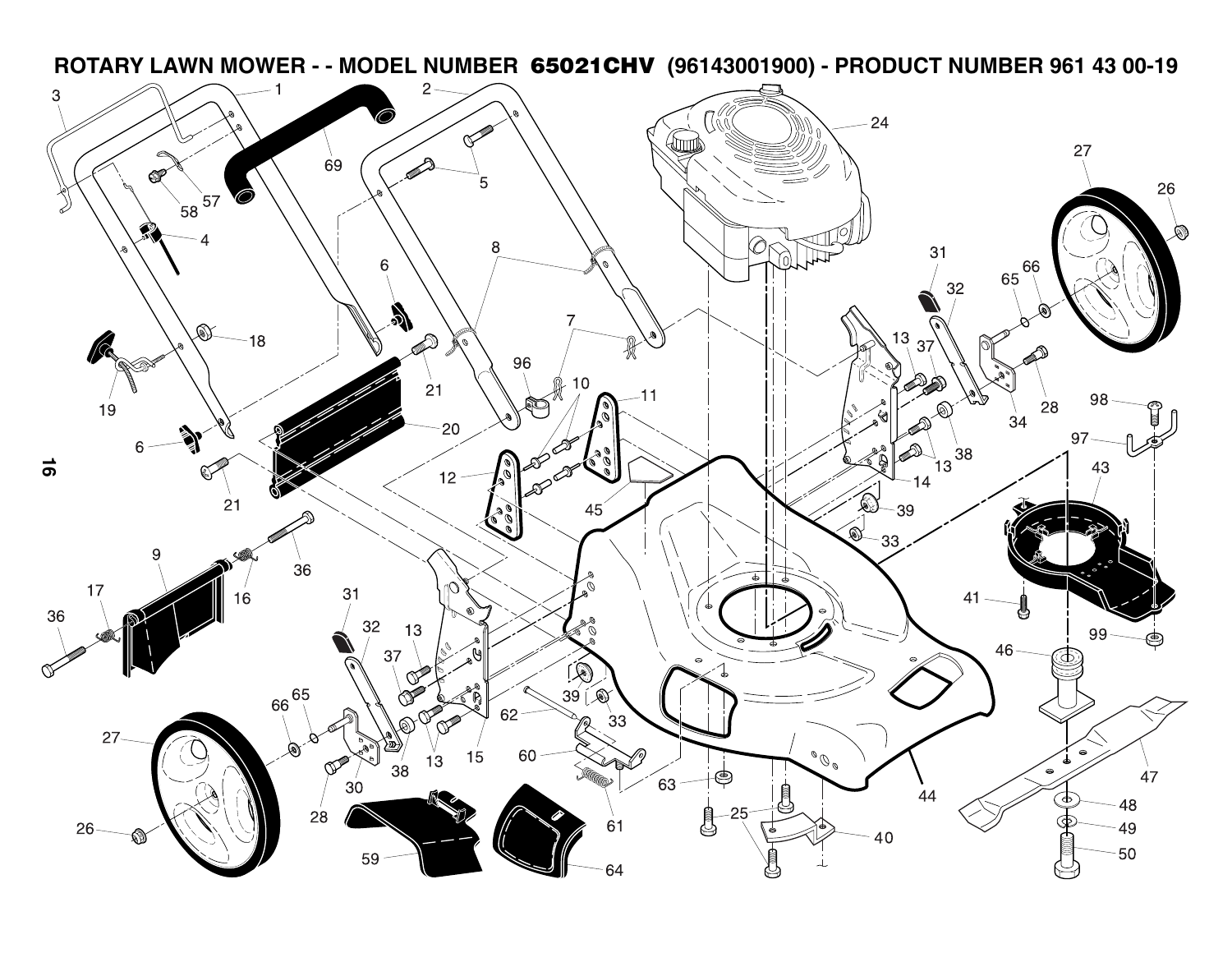**ROTARY LAWN MOWER - - MODEL NUMBER 65021CHV (96143001900) - PRODUCT NUMBER 961 43 00-19** $\overline{c}$ 3 ⌒`  $-24$ ≪ lmm  $27\,$ 69 5 26  $57$ O  $58$ я  $31$ Q 6 66 65 32  $\lambda$  $\mathbb{Q}$ D 13  $18$ W 37 96  $10$  $21$ 98 28 19  $\mathbb C$  $\int_{\phi}$ ♦  $\ddot{34}$ 20 97  $\frac{1}{13}$ 38 հ Q **16** Ø 43  $12$  $14$  $\circledast$  $21$ -39 45  $\mathbf{\mathbb{Q}}$  $33$ 9 36 17  $\mathscr{O}_{\bm a}$ N 31 36 32 13 O<br>R  $99 -$ ⋐ 46 37  $\widehat{\mathbb{Q}}$ Q  $\mathbb Q$  $66\frac{65}{1}$  $39^{\circ}$  $\otimes$ 62  $33$ ൯  $27$ OO. 15 60  $13$ രീ 38 ໌ 47 63  $30<sup>°</sup>$  $44$ ્⊄ 48  $28$ 61 26 49 40  $-50$ 59 64 പ്ര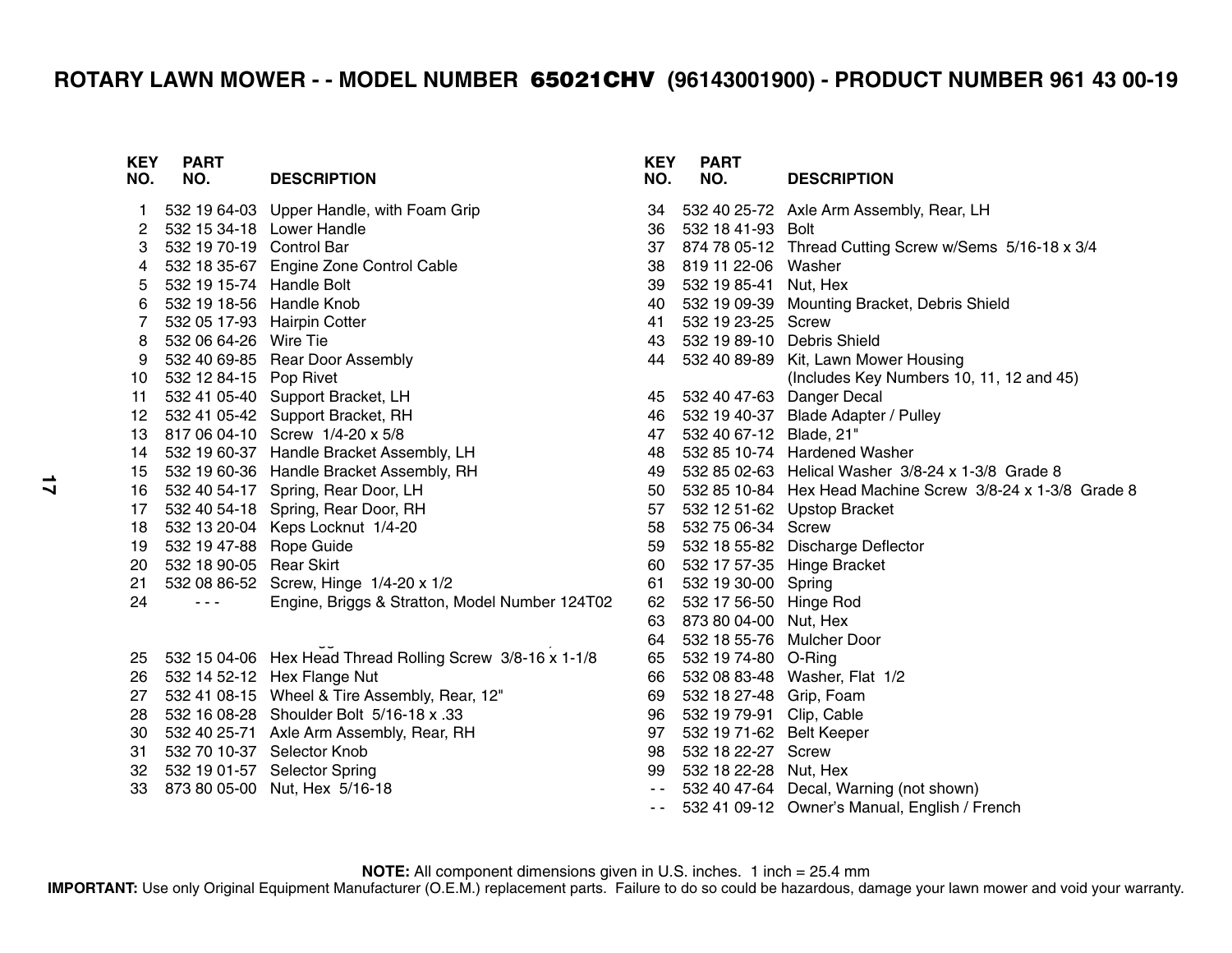## **ROTARY LAWN MOWER - - MODEL NUMBER 65021CHV (96143001900) - PRODUCT NUMBER 961 43 00-19**

| <b>KEY</b><br>NO. | <b>PART</b><br>NO.       | <b>DESCRIPTION</b>                                        | <b>KEY</b><br>NO. | F<br>N     |
|-------------------|--------------------------|-----------------------------------------------------------|-------------------|------------|
| 1                 |                          | 532 19 64-03 Upper Handle, with Foam Grip                 | 34                | 532        |
| 2                 |                          | 532 15 34-18 Lower Handle                                 | 36                | 532        |
| 3                 | 532 19 70-19 Control Bar |                                                           | 37                | 874        |
| 4                 |                          | 532 18 35-67 Engine Zone Control Cable                    | 38                | 819        |
| 5                 | 532 19 15-74             | <b>Handle Bolt</b>                                        | 39                | 532        |
| 6                 | 532 19 18-56 Handle Knob |                                                           | 40                | 532        |
| $\overline{7}$    |                          | 532 05 17-93 Hairpin Cotter                               | 41                | 532        |
| 8                 | 532 06 64-26 Wire Tie    |                                                           | 43                | 532        |
| 9                 |                          | 532 40 69-85 Rear Door Assembly                           | 44                | 532        |
| 10                | 532 12 84-15 Pop Rivet   |                                                           |                   |            |
| 11                | 532 41 05-40             | Support Bracket, LH                                       | 45                | 532        |
| 12                | 532 41 05-42             | Support Bracket, RH                                       | 46                | 532        |
| 13                | 817 06 04-10             | Screw 1/4-20 x 5/8                                        | 47                | 532        |
| 14                | 532 19 60-37             | Handle Bracket Assembly, LH                               | 48                | 532        |
| 15                | 532 19 60-36             | Handle Bracket Assembly, RH                               | 49                | 532        |
| 16                | 532 40 54-17             | Spring, Rear Door, LH                                     | 50                | 532        |
| 17                | 532 40 54-18             | Spring, Rear Door, RH                                     | 57                | 532        |
| 18                | 532 13 20-04             | Keps Locknut 1/4-20                                       | 58                | 532        |
| 19                | 532 19 47-88 Rope Guide  |                                                           | 59                | 532        |
| 20                | 532 18 90-05 Rear Skirt  |                                                           | 60                | 532        |
| 21                | 532 08 86-52             | Screw, Hinge 1/4-20 x 1/2                                 | 61                | 532        |
| 24                |                          | Engine, Briggs & Stratton, Model Number 124T02            | 62                | 532        |
|                   |                          |                                                           | 63                | 873        |
| 25                |                          | 532 15 04-06 Hex Head Thread Rolling Screw 3/8-16 x 1-1/8 | 64<br>65          | 532<br>532 |
| 26                | 532 14 52-12             | Hex Flange Nut                                            | 66                | 532        |
| 27                | 532 41 08-15             | Wheel & Tire Assembly, Rear, 12"                          | 69                | 532        |
| 28                | 532 16 08-28             | Shoulder Bolt 5/16-18 x .33                               | 96                | 532        |
| 30                |                          | 532 40 25-71 Axle Arm Assembly, Rear, RH                  | 97                | 532        |
| 31                |                          | 532 70 10-37 Selector Knob                                | 98                | 532        |
| 32                |                          | 532 19 01-57 Selector Spring                              | 99                | 532        |
| 33                |                          | 873 80 05-00 Nut, Hex 5/16-18                             | $\sim$ $\sim$     | 532        |
|                   |                          |                                                           | $\sim$ $\sim$     | 532        |
|                   |                          |                                                           |                   |            |

| KEY<br>NO.    | <b>PART</b><br>NO.         | <b>DESCRIPTION</b>                            |
|---------------|----------------------------|-----------------------------------------------|
| 34            |                            | 532 40 25-72 Axle Arm Assembly, Rear, LH      |
| 36            | 532 18 41-93               | <b>Bolt</b>                                   |
| 37            | 874 78 05-12               | Thread Cutting Screw w/Sems 5/16-18 x 3/4     |
| 38            | 819 11 22-06               | Washer                                        |
| 39            | 532 19 85-41               | Nut, Hex                                      |
| 40            | 532 19 09-39               | Mounting Bracket, Debris Shield               |
| 41            | 532 19 23-25               | Screw                                         |
| 43            | 532 19 89-10 Debris Shield |                                               |
| 44            |                            | 532 40 89-89 Kit, Lawn Mower Housing          |
|               |                            | (Includes Key Numbers 10, 11, 12 and 45)      |
| 45            | 532 40 47-63               | Danger Decal                                  |
| 46            | 532 19 40-37               | Blade Adapter / Pulley                        |
| 47            | 532 40 67-12               | Blade, 21"                                    |
| 48            | 532 85 10-74               | <b>Hardened Washer</b>                        |
| 49            | 532 85 02-63               | Helical Washer 3/8-24 x 1-3/8 Grade 8         |
| 50            | 532 85 10-84               | Hex Head Machine Screw 3/8-24 x 1-3/8 Grade 8 |
| 57            | 532 12 51-62               | <b>Upstop Bracket</b>                         |
| 58            | 532 75 06-34               | <b>Screw</b>                                  |
| 59            | 532 18 55-82               | Discharge Deflector                           |
| 60            | 532 17 57-35               | Hinge Bracket                                 |
| 61            | 532 19 30-00               | Spring                                        |
| 62            | 532 17 56-50               | Hinge Rod                                     |
| 63            | 873 80 04-00               | Nut, Hex                                      |
| 64            | 532 18 55-76               | <b>Mulcher Door</b>                           |
| 65            | 532 19 74-80               | O-Ring                                        |
| 66            | 532 08 83-48               | Washer, Flat 1/2                              |
| 69            | 532 18 27-48               | Grip, Foam                                    |
| 96            | 532 19 79-91               | Clip, Cable                                   |
| 97            | 532 19 71-62               | <b>Belt Keeper</b>                            |
| 98            | 532 18 22-27               | Screw                                         |
| 99            | 532 18 22-28               | Nut, Hex                                      |
| $\sim$ $\sim$ | 532 40 47-64               | Decal, Warning (not shown)                    |
| $\sim$ $\sim$ | 532 41 09-12               | Owner's Manual, English / French              |

**NOTE:** All component dimensions given in U.S. inches. 1 inch = 25.4 mm

**IMPORTANT:** Use only Original Equipment Manufacturer (O.E.M.) replacement parts. Failure to do so could be hazardous, damage your lawn mower and void your warranty.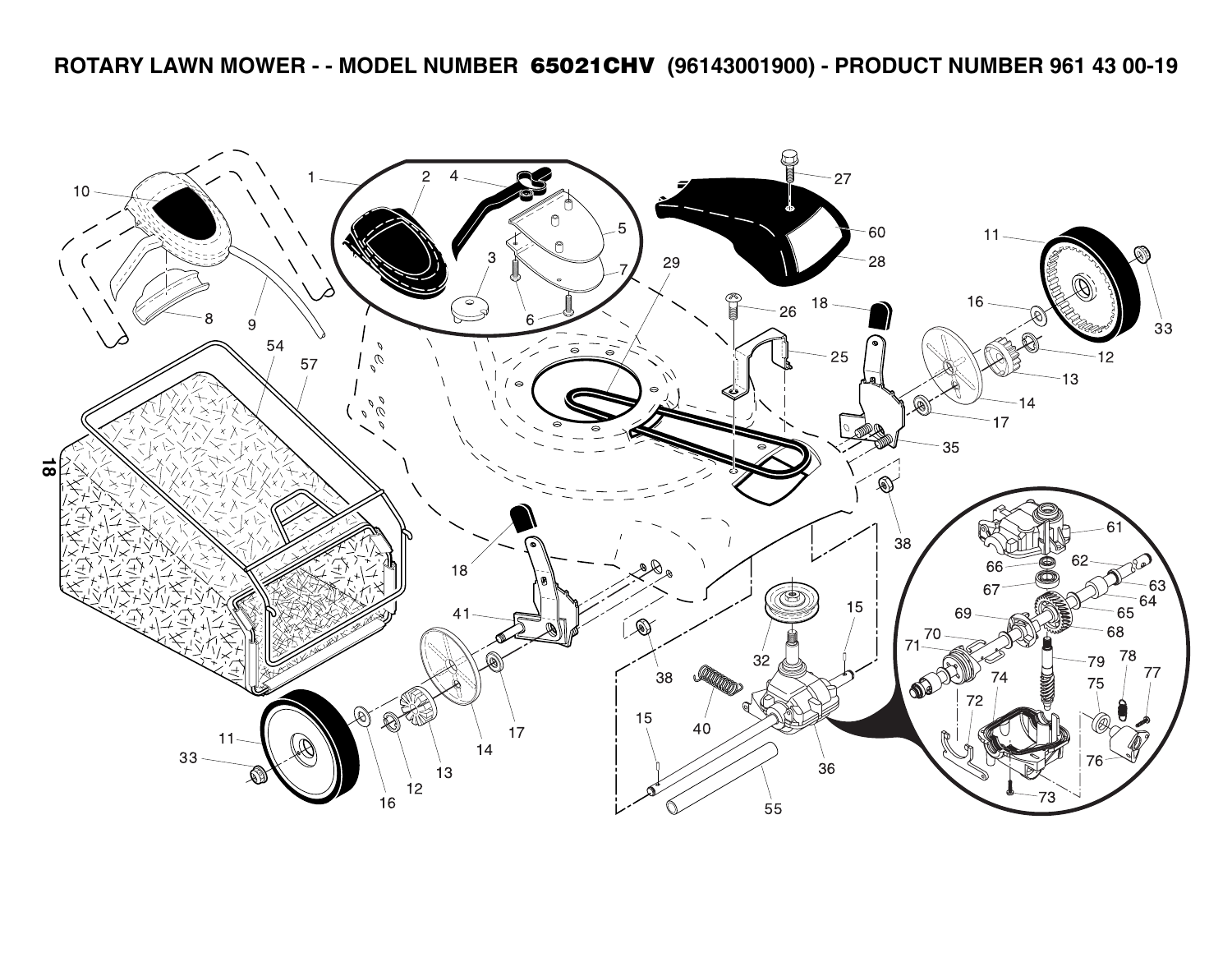**ROTARY LAWN MOWER - - MODEL NUMBER 65021CHV (96143001900) - PRODUCT NUMBER 961 43 00-19**